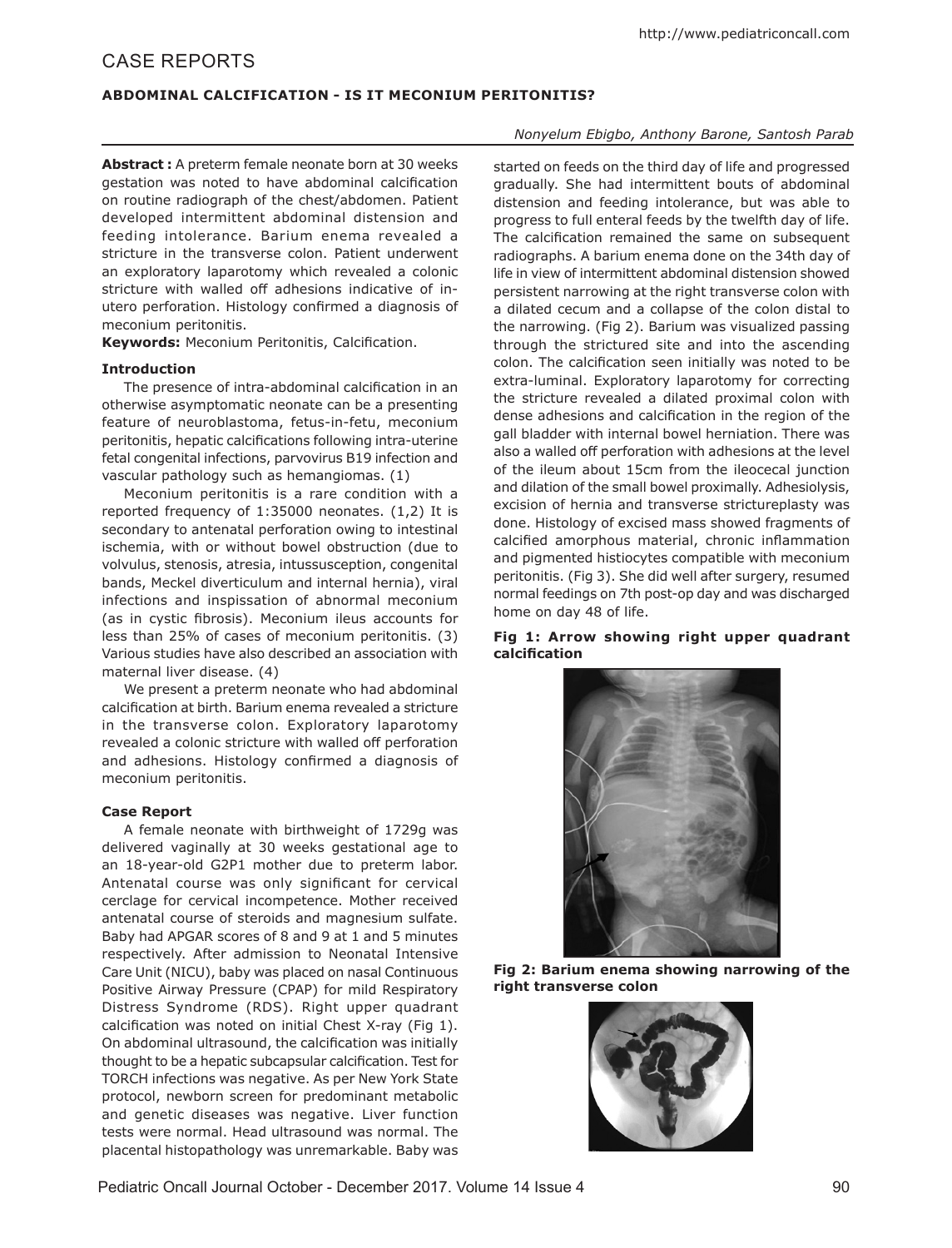# CASE REPORTS

## **ABDOMINAL CALCIFICATION - IS IT MECONIUM PERITONITIS?**

**Abstract :** A preterm female neonate born at 30 weeks gestation was noted to have abdominal calcification on routine radiograph of the chest/abdomen. Patient developed intermittent abdominal distension and feeding intolerance. Barium enema revealed a stricture in the transverse colon. Patient underwent an exploratory laparotomy which revealed a colonic stricture with walled off adhesions indicative of inutero perforation. Histology confirmed a diagnosis of meconium peritonitis.

**Keywords:** Meconium Peritonitis, Calcification.

## **Introduction**

The presence of intra-abdominal calcification in an otherwise asymptomatic neonate can be a presenting feature of neuroblastoma, fetus-in-fetu, meconium peritonitis, hepatic calcifications following intra-uterine fetal congenital infections, parvovirus B19 infection and vascular pathology such as hemangiomas. (1)

Meconium peritonitis is a rare condition with a reported frequency of 1:35000 neonates. (1,2) It is secondary to antenatal perforation owing to intestinal ischemia, with or without bowel obstruction (due to volvulus, stenosis, atresia, intussusception, congenital bands, Meckel diverticulum and internal hernia), viral infections and inspissation of abnormal meconium (as in cystic fibrosis). Meconium ileus accounts for less than 25% of cases of meconium peritonitis. (3) Various studies have also described an association with maternal liver disease. (4)

We present a preterm neonate who had abdominal calcification at birth. Barium enema revealed a stricture in the transverse colon. Exploratory laparotomy revealed a colonic stricture with walled off perforation and adhesions. Histology confirmed a diagnosis of meconium peritonitis.

#### **Case Report**

A female neonate with birthweight of 1729g was delivered vaginally at 30 weeks gestational age to an 18-year-old G2P1 mother due to preterm labor. Antenatal course was only significant for cervical cerclage for cervical incompetence. Mother received antenatal course of steroids and magnesium sulfate. Baby had APGAR scores of 8 and 9 at 1 and 5 minutes respectively. After admission to Neonatal Intensive Care Unit (NICU), baby was placed on nasal Continuous Positive Airway Pressure (CPAP) for mild Respiratory Distress Syndrome (RDS). Right upper quadrant calcification was noted on initial Chest X-ray (Fig 1). On abdominal ultrasound, the calcification was initially thought to be a hepatic subcapsular calcification. Test for TORCH infections was negative. As per New York State protocol, newborn screen for predominant metabolic and genetic diseases was negative. Liver function tests were normal. Head ultrasound was normal. The placental histopathology was unremarkable. Baby was

## *Nonyelum Ebigbo, Anthony Barone, Santosh Parab*

started on feeds on the third day of life and progressed gradually. She had intermittent bouts of abdominal distension and feeding intolerance, but was able to progress to full enteral feeds by the twelfth day of life. The calcification remained the same on subsequent radiographs. A barium enema done on the 34th day of life in view of intermittent abdominal distension showed persistent narrowing at the right transverse colon with a dilated cecum and a collapse of the colon distal to the narrowing. (Fig 2). Barium was visualized passing through the strictured site and into the ascending colon. The calcification seen initially was noted to be extra-luminal. Exploratory laparotomy for correcting the stricture revealed a dilated proximal colon with dense adhesions and calcification in the region of the gall bladder with internal bowel herniation. There was also a walled off perforation with adhesions at the level of the ileum about 15cm from the ileocecal junction and dilation of the small bowel proximally. Adhesiolysis, excision of hernia and transverse strictureplasty was done. Histology of excised mass showed fragments of calcified amorphous material, chronic inflammation and pigmented histiocytes compatible with meconium peritonitis. (Fig 3). She did well after surgery, resumed normal feedings on 7th post-op day and was discharged home on day 48 of life.

#### **Fig 1: Arrow showing right upper quadrant calcification**